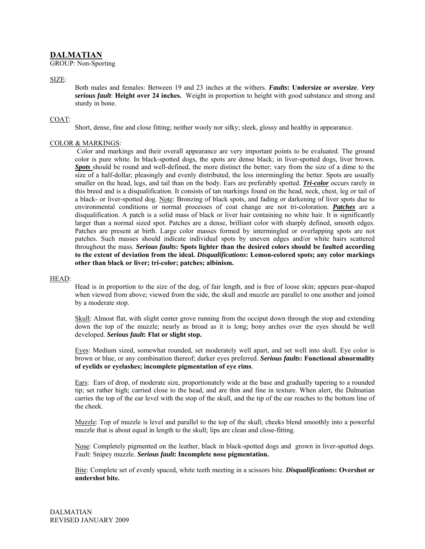# **DALMATIAN**

GROUP: Non-Sporting

SIZE:

Both males and females: Between 19 and 23 inches at the withers. *Faults***: Undersize or oversize**. *Very serious fault*: **Height over 24 inches.** Weight in proportion to height with good substance and strong and sturdy in bone.

## COAT:

Short, dense, fine and close fitting; neither wooly nor silky; sleek, glossy and healthy in appearance.

## COLOR & MARKINGS:

Color and markings and their overall appearance are very important points to be evaluated. The ground color is pure white. In black-spotted dogs, the spots are dense black; in liver-spotted dogs, liver brown. **Spots** should be round and well-defined, the more distinct the better; vary from the size of a dime to the size of a half-dollar; pleasingly and evenly distributed, the less intermingling the better. Spots are usually smaller on the head, legs, and tail than on the body. Ears are preferably spotted. *Tri-color* occurs rarely in this breed and is a disqualification. It consists of tan markings found on the head, neck, chest, leg or tail of a black- or liver-spotted dog. Note: Bronzing of black spots, and fading or darkening of liver spots due to environmental conditions or normal processes of coat change are not tri-coloration. *Patches* are a disqualification. A patch is a solid mass of black or liver hair containing no white hair. It is significantly larger than a normal sized spot. Patches are a dense, brilliant color with sharply defined, smooth edges. Patches are present at birth. Large color masses formed by intermingled or overlapping spots are not patches. Such masses should indicate individual spots by uneven edges and/or white hairs scattered throughout the mass. *Serious faults***: Spots lighter than the desired colors should be faulted according to the extent of deviation from the ideal.** *Disqualifications***: Lemon-colored spots; any color markings other than black or liver; tri-color; patches; albinism.** 

#### HEAD:

Head is in proportion to the size of the dog, of fair length, and is free of loose skin; appears pear-shaped when viewed from above; viewed from the side, the skull and muzzle are parallel to one another and joined by a moderate stop.

Skull: Almost flat, with slight center grove running from the occiput down through the stop and extending down the top of the muzzle; nearly as broad as it is long; bony arches over the eyes should be well developed. *Serious fault***: Flat or slight stop.**

Eyes: Medium sized, somewhat rounded, set moderately well apart, and set well into skull. Eye color is brown or blue, or any combination thereof; darker eyes preferred. *Serious faults***: Functional abnormality of eyelids or eyelashes; incomplete pigmentation of eye rims**.

Ears: Ears of drop, of moderate size, proportionately wide at the base and gradually tapering to a rounded tip; set rather high; carried close to the head, and are thin and fine in texture. When alert, the Dalmatian carries the top of the ear level with the stop of the skull, and the tip of the ear reaches to the bottom line of the cheek.

Muzzle: Top of muzzle is level and parallel to the top of the skull; cheeks blend smoothly into a powerful muzzle that is about equal in length to the skull; lips are clean and close-fitting.

Nose: Completely pigmented on the leather, black in black-spotted dogs and grown in liver-spotted dogs. Fault: Snipey muzzle. *Serious fault***: Incomplete nose pigmentation.** 

Bite: Complete set of evenly spaced, white teeth meeting in a scissors bite. *Disqualifications***: Overshot or undershot bite.**